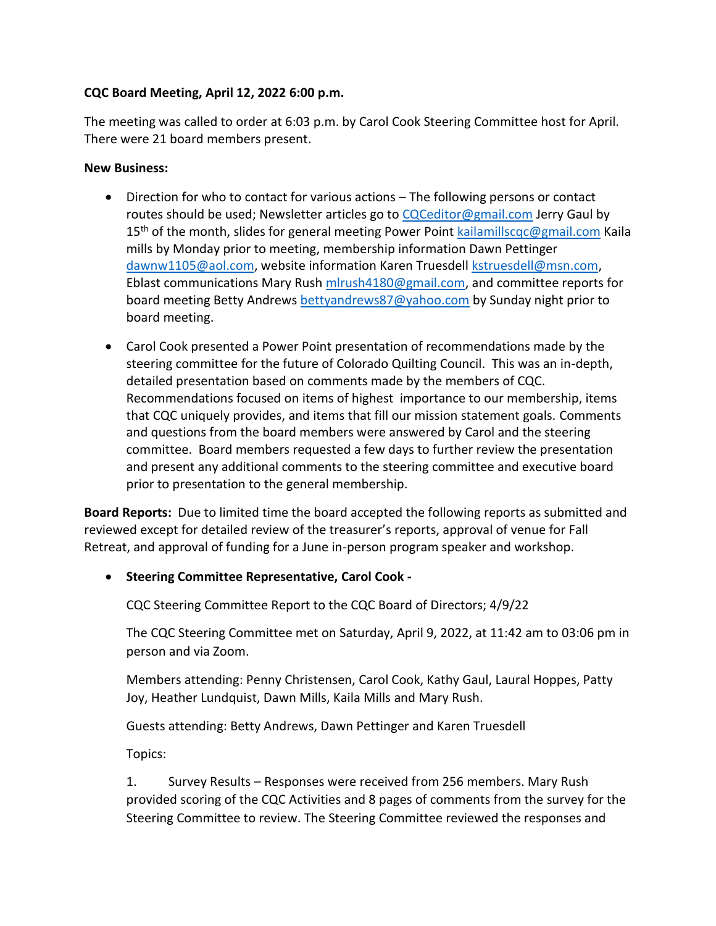## **CQC Board Meeting, April 12, 2022 6:00 p.m.**

The meeting was called to order at 6:03 p.m. by Carol Cook Steering Committee host for April. There were 21 board members present.

## **New Business:**

- Direction for who to contact for various actions The following persons or contact routes should be used; Newsletter articles go to  $CQCeditor@gmail.com$  Jerry Gaul by 15<sup>th</sup> of the month, slides for general meeting Power Point [kailamillscqc@gmail.com](mailto:kailamillscqc@gmail.com) Kaila mills by Monday prior to meeting, membership information Dawn Pettinger [dawnw1105@aol.com,](mailto:dawnw1105@aol.com) website information Karen Truesdell [kstruesdell@msn.com,](mailto:kstruesdell@msn.com) Eblast communications Mary Rush [mlrush4180@gmail.com,](mailto:mlrush4180@gmail.com) and committee reports for board meeting Betty Andrews [bettyandrews87@yahoo.com](mailto:bettyandrews87@yahoo.com) by Sunday night prior to board meeting.
- Carol Cook presented a Power Point presentation of recommendations made by the steering committee for the future of Colorado Quilting Council. This was an in-depth, detailed presentation based on comments made by the members of CQC. Recommendations focused on items of highest importance to our membership, items that CQC uniquely provides, and items that fill our mission statement goals. Comments and questions from the board members were answered by Carol and the steering committee. Board members requested a few days to further review the presentation and present any additional comments to the steering committee and executive board prior to presentation to the general membership.

**Board Reports:** Due to limited time the board accepted the following reports as submitted and reviewed except for detailed review of the treasurer's reports, approval of venue for Fall Retreat, and approval of funding for a June in-person program speaker and workshop.

• **Steering Committee Representative, Carol Cook -**

CQC Steering Committee Report to the CQC Board of Directors; 4/9/22

The CQC Steering Committee met on Saturday, April 9, 2022, at 11:42 am to 03:06 pm in person and via Zoom.

Members attending: Penny Christensen, Carol Cook, Kathy Gaul, Laural Hoppes, Patty Joy, Heather Lundquist, Dawn Mills, Kaila Mills and Mary Rush.

Guests attending: Betty Andrews, Dawn Pettinger and Karen Truesdell

Topics:

1. Survey Results – Responses were received from 256 members. Mary Rush provided scoring of the CQC Activities and 8 pages of comments from the survey for the Steering Committee to review. The Steering Committee reviewed the responses and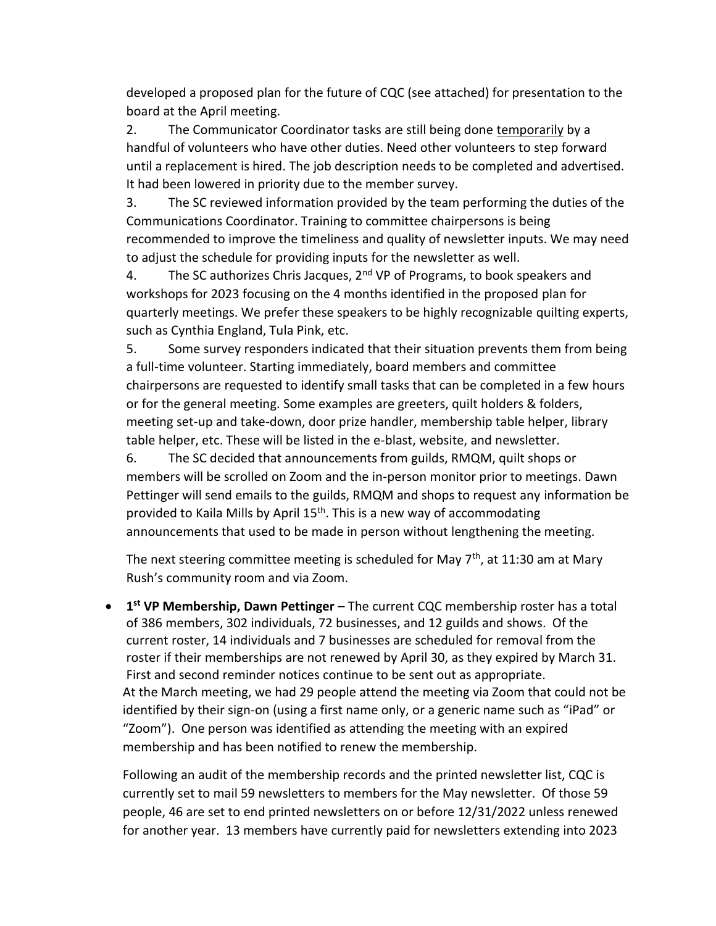developed a proposed plan for the future of CQC (see attached) for presentation to the board at the April meeting.

2. The Communicator Coordinator tasks are still being done temporarily by a handful of volunteers who have other duties. Need other volunteers to step forward until a replacement is hired. The job description needs to be completed and advertised. It had been lowered in priority due to the member survey.

3. The SC reviewed information provided by the team performing the duties of the Communications Coordinator. Training to committee chairpersons is being recommended to improve the timeliness and quality of newsletter inputs. We may need to adjust the schedule for providing inputs for the newsletter as well.

4. The SC authorizes Chris Jacques,  $2<sup>nd</sup> VP$  of Programs, to book speakers and workshops for 2023 focusing on the 4 months identified in the proposed plan for quarterly meetings. We prefer these speakers to be highly recognizable quilting experts, such as Cynthia England, Tula Pink, etc.

5. Some survey responders indicated that their situation prevents them from being a full-time volunteer. Starting immediately, board members and committee chairpersons are requested to identify small tasks that can be completed in a few hours or for the general meeting. Some examples are greeters, quilt holders & folders, meeting set-up and take-down, door prize handler, membership table helper, library table helper, etc. These will be listed in the e-blast, website, and newsletter.

6. The SC decided that announcements from guilds, RMQM, quilt shops or members will be scrolled on Zoom and the in-person monitor prior to meetings. Dawn Pettinger will send emails to the guilds, RMQM and shops to request any information be provided to Kaila Mills by April 15<sup>th</sup>. This is a new way of accommodating announcements that used to be made in person without lengthening the meeting.

The next steering committee meeting is scheduled for May  $7<sup>th</sup>$ , at 11:30 am at Mary Rush's community room and via Zoom.

• **1 st VP Membership, Dawn Pettinger** – The current CQC membership roster has a total of 386 members, 302 individuals, 72 businesses, and 12 guilds and shows. Of the current roster, 14 individuals and 7 businesses are scheduled for removal from the roster if their memberships are not renewed by April 30, as they expired by March 31. First and second reminder notices continue to be sent out as appropriate. At the March meeting, we had 29 people attend the meeting via Zoom that could not be identified by their sign-on (using a first name only, or a generic name such as "iPad" or "Zoom"). One person was identified as attending the meeting with an expired membership and has been notified to renew the membership.

Following an audit of the membership records and the printed newsletter list, CQC is currently set to mail 59 newsletters to members for the May newsletter. Of those 59 people, 46 are set to end printed newsletters on or before 12/31/2022 unless renewed for another year. 13 members have currently paid for newsletters extending into 2023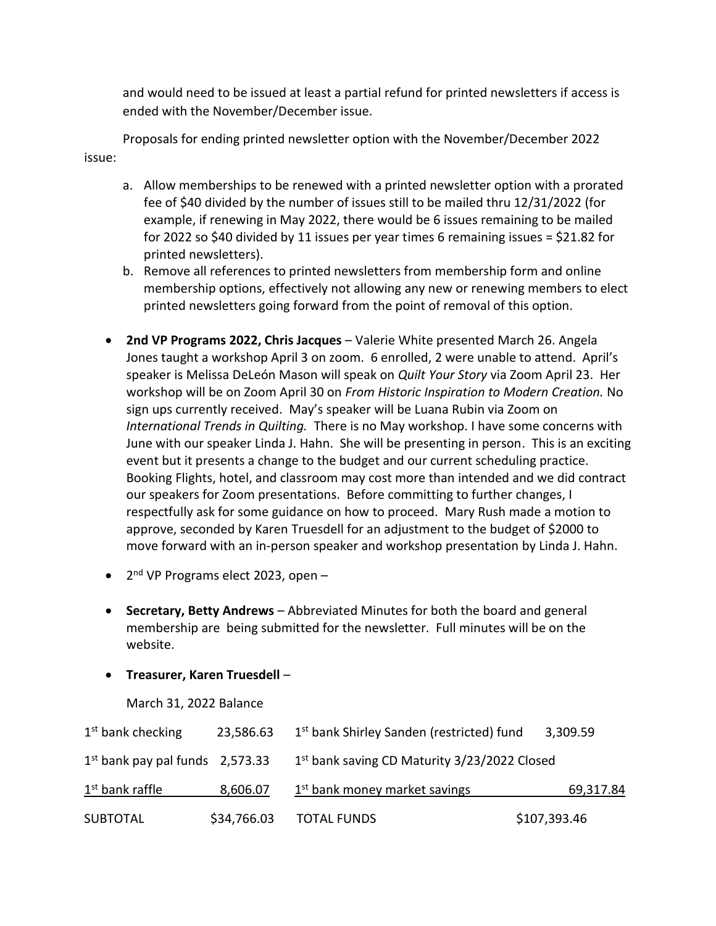and would need to be issued at least a partial refund for printed newsletters if access is ended with the November/December issue.

Proposals for ending printed newsletter option with the November/December 2022 issue:

- a. Allow memberships to be renewed with a printed newsletter option with a prorated fee of \$40 divided by the number of issues still to be mailed thru 12/31/2022 (for example, if renewing in May 2022, there would be 6 issues remaining to be mailed for 2022 so \$40 divided by 11 issues per year times 6 remaining issues =  $$21.82$  for printed newsletters).
- b. Remove all references to printed newsletters from membership form and online membership options, effectively not allowing any new or renewing members to elect printed newsletters going forward from the point of removal of this option.
- **2nd VP Programs 2022, Chris Jacques** Valerie White presented March 26. Angela Jones taught a workshop April 3 on zoom. 6 enrolled, 2 were unable to attend. April's speaker is Melissa DeLeón Mason will speak on *Quilt Your Story* via Zoom April 23. Her workshop will be on Zoom April 30 on *From Historic Inspiration to Modern Creation.* No sign ups currently received. May's speaker will be Luana Rubin via Zoom on *International Trends in Quilting.* There is no May workshop. I have some concerns with June with our speaker Linda J. Hahn. She will be presenting in person. This is an exciting event but it presents a change to the budget and our current scheduling practice. Booking Flights, hotel, and classroom may cost more than intended and we did contract our speakers for Zoom presentations. Before committing to further changes, I respectfully ask for some guidance on how to proceed. Mary Rush made a motion to approve, seconded by Karen Truesdell for an adjustment to the budget of \$2000 to move forward with an in-person speaker and workshop presentation by Linda J. Hahn.
- 2<sup>nd</sup> VP Programs elect 2023, open -
- **Secretary, Betty Andrews** Abbreviated Minutes for both the board and general membership are being submitted for the newsletter. Full minutes will be on the website.
- **Treasurer, Karen Truesdell**
	- March 31, 2022 Balance

| $1st$ bank checking               | 23,586.63   | 1 <sup>st</sup> bank Shirley Sanden (restricted) fund    | 3,309.59     |
|-----------------------------------|-------------|----------------------------------------------------------|--------------|
| $1st$ bank pay pal funds 2,573.33 |             | 1 <sup>st</sup> bank saving CD Maturity 3/23/2022 Closed |              |
| 1 <sup>st</sup> bank raffle       | 8,606.07    | 1 <sup>st</sup> bank money market savings                | 69,317.84    |
| <b>SUBTOTAL</b>                   | \$34,766.03 | <b>TOTAL FUNDS</b>                                       | \$107,393.46 |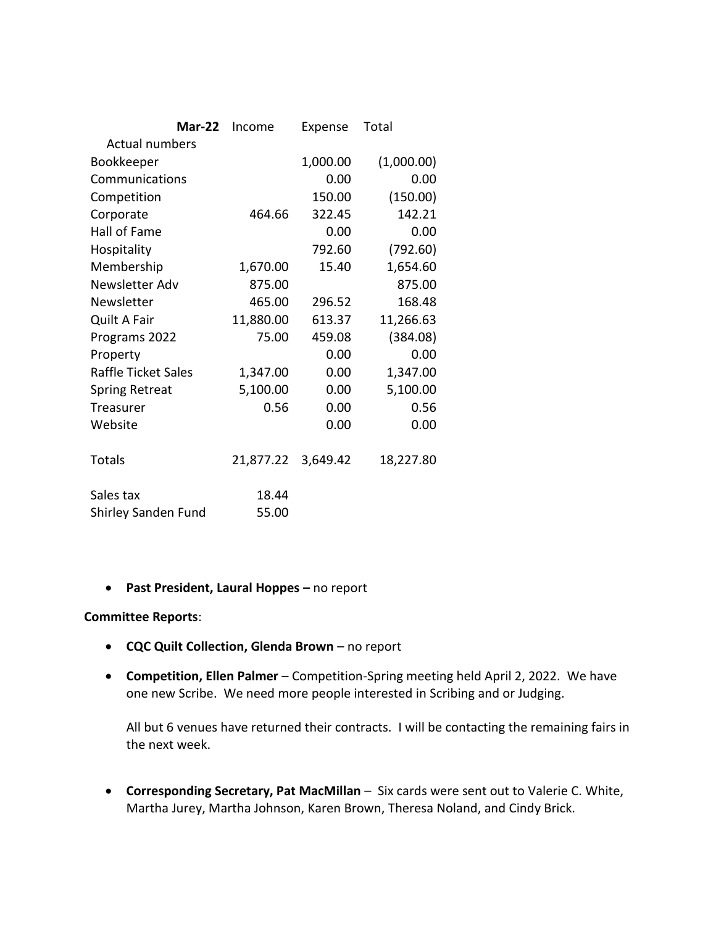|                            | <b>Mar-22</b> | Income    | Expense  | Total      |  |
|----------------------------|---------------|-----------|----------|------------|--|
| <b>Actual numbers</b>      |               |           |          |            |  |
| Bookkeeper                 |               |           | 1,000.00 | (1,000.00) |  |
| Communications             |               |           | 0.00     | 0.00       |  |
| Competition                |               |           | 150.00   | (150.00)   |  |
| Corporate                  |               | 464.66    | 322.45   | 142.21     |  |
| Hall of Fame               |               |           | 0.00     | 0.00       |  |
| Hospitality                |               |           | 792.60   | (792.60)   |  |
| Membership                 |               | 1,670.00  | 15.40    | 1,654.60   |  |
| Newsletter Adv             |               | 875.00    |          | 875.00     |  |
| Newsletter                 |               | 465.00    | 296.52   | 168.48     |  |
| <b>Quilt A Fair</b>        |               | 11,880.00 | 613.37   | 11,266.63  |  |
| Programs 2022              |               | 75.00     | 459.08   | (384.08)   |  |
| Property                   |               |           | 0.00     | 0.00       |  |
| <b>Raffle Ticket Sales</b> |               | 1,347.00  | 0.00     | 1,347.00   |  |
| <b>Spring Retreat</b>      |               | 5,100.00  | 0.00     | 5,100.00   |  |
| <b>Treasurer</b>           |               | 0.56      | 0.00     | 0.56       |  |
| Website                    |               |           | 0.00     | 0.00       |  |
| <b>Totals</b>              |               | 21,877.22 | 3,649.42 | 18,227.80  |  |
| Sales tax                  |               | 18.44     |          |            |  |
| Shirley Sanden Fund        |               | 55.00     |          |            |  |

• **Past President, Laural Hoppes –** no report

## **Committee Reports**:

- **CQC Quilt Collection, Glenda Brown** no report
- **Competition, Ellen Palmer** Competition-Spring meeting held April 2, 2022. We have one new Scribe. We need more people interested in Scribing and or Judging.

All but 6 venues have returned their contracts. I will be contacting the remaining fairs in the next week.

• **Corresponding Secretary, Pat MacMillan** – Six cards were sent out to Valerie C. White, Martha Jurey, Martha Johnson, Karen Brown, Theresa Noland, and Cindy Brick.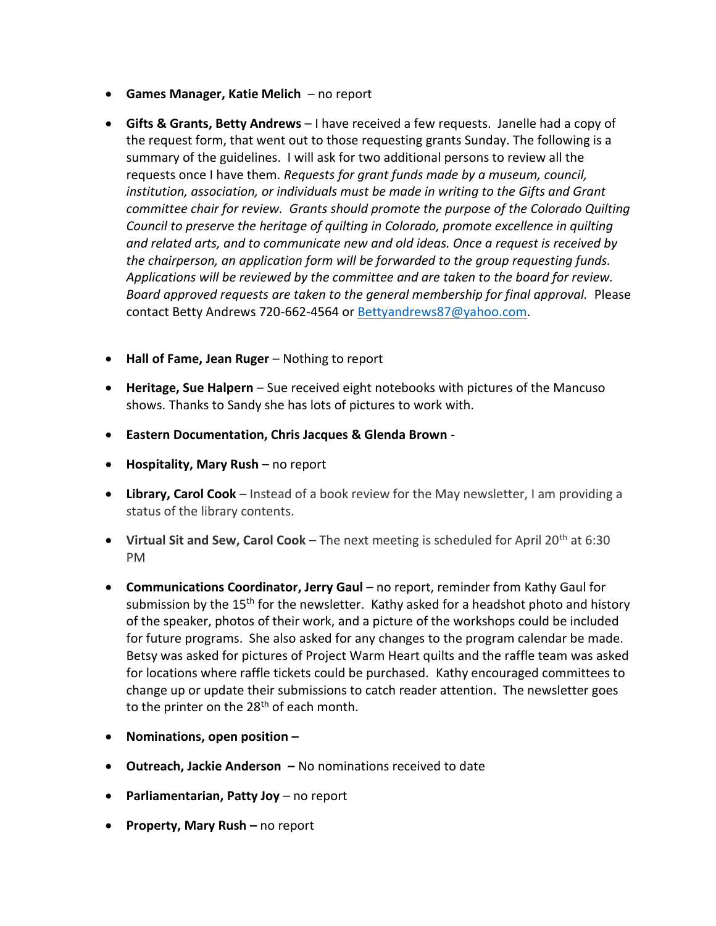- **Games Manager, Katie Melich** no report
- **Gifts & Grants, Betty Andrews** I have received a few requests. Janelle had a copy of the request form, that went out to those requesting grants Sunday. The following is a summary of the guidelines. I will ask for two additional persons to review all the requests once I have them. *Requests for grant funds made by a museum, council, institution, association, or individuals must be made in writing to the Gifts and Grant committee chair for review. Grants should promote the purpose of the Colorado Quilting Council to preserve the heritage of quilting in Colorado, promote excellence in quilting and related arts, and to communicate new and old ideas. Once a request is received by the chairperson, an application form will be forwarded to the group requesting funds. Applications will be reviewed by the committee and are taken to the board for review. Board approved requests are taken to the general membership for final approval.* Please contact Betty Andrews 720-662-4564 or [Bettyandrews87@yahoo.com.](mailto:Bettyandrews87@yahoo.com)
- **Hall of Fame, Jean Ruger** Nothing to report
- **Heritage, Sue Halpern** Sue received eight notebooks with pictures of the Mancuso shows. Thanks to Sandy she has lots of pictures to work with.
- **Eastern Documentation, Chris Jacques & Glenda Brown** -
- **Hospitality, Mary Rush** no report
- **Library, Carol Cook** Instead of a book review for the May newsletter, I am providing a status of the library contents.
- **Virtual Sit and Sew, Carol Cook** The next meeting is scheduled for April 20th at 6:30 PM
- **Communications Coordinator, Jerry Gaul** no report, reminder from Kathy Gaul for submission by the 15<sup>th</sup> for the newsletter. Kathy asked for a headshot photo and history of the speaker, photos of their work, and a picture of the workshops could be included for future programs. She also asked for any changes to the program calendar be made. Betsy was asked for pictures of Project Warm Heart quilts and the raffle team was asked for locations where raffle tickets could be purchased. Kathy encouraged committees to change up or update their submissions to catch reader attention. The newsletter goes to the printer on the 28<sup>th</sup> of each month.
- **Nominations, open position –**
- **Outreach, Jackie Anderson –** No nominations received to date
- **Parliamentarian, Patty Joy** no report
- **Property, Mary Rush –** no report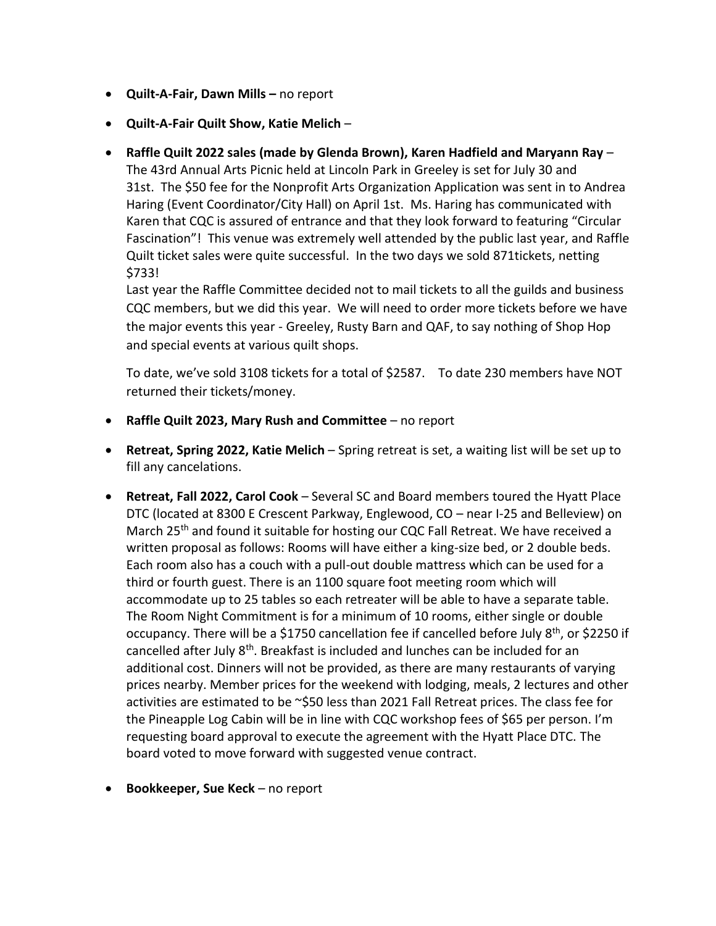- **Quilt-A-Fair, Dawn Mills –** no report
- **Quilt-A-Fair Quilt Show, Katie Melich** –
- **Raffle Quilt 2022 sales (made by Glenda Brown), Karen Hadfield and Maryann Ray** The 43rd Annual Arts Picnic held at Lincoln Park in Greeley is set for July 30 and 31st. The \$50 fee for the Nonprofit Arts Organization Application was sent in to Andrea Haring (Event Coordinator/City Hall) on April 1st. Ms. Haring has communicated with Karen that CQC is assured of entrance and that they look forward to featuring "Circular Fascination"! This venue was extremely well attended by the public last year, and Raffle Quilt ticket sales were quite successful. In the two days we sold 871tickets, netting \$733!

Last year the Raffle Committee decided not to mail tickets to all the guilds and business CQC members, but we did this year. We will need to order more tickets before we have the major events this year - Greeley, Rusty Barn and QAF, to say nothing of Shop Hop and special events at various quilt shops.

To date, we've sold 3108 tickets for a total of \$2587. To date 230 members have NOT returned their tickets/money.

- **Raffle Quilt 2023, Mary Rush and Committee** no report
- **Retreat, Spring 2022, Katie Melich** Spring retreat is set, a waiting list will be set up to fill any cancelations.
- **Retreat, Fall 2022, Carol Cook** Several SC and Board members toured the Hyatt Place DTC (located at 8300 E Crescent Parkway, Englewood, CO – near I-25 and Belleview) on March 25<sup>th</sup> and found it suitable for hosting our CQC Fall Retreat. We have received a written proposal as follows: Rooms will have either a king-size bed, or 2 double beds. Each room also has a couch with a pull-out double mattress which can be used for a third or fourth guest. There is an 1100 square foot meeting room which will accommodate up to 25 tables so each retreater will be able to have a separate table. The Room Night Commitment is for a minimum of 10 rooms, either single or double occupancy. There will be a \$1750 cancellation fee if cancelled before July  $8<sup>th</sup>$ , or \$2250 if cancelled after July 8<sup>th</sup>. Breakfast is included and lunches can be included for an additional cost. Dinners will not be provided, as there are many restaurants of varying prices nearby. Member prices for the weekend with lodging, meals, 2 lectures and other activities are estimated to be ~\$50 less than 2021 Fall Retreat prices. The class fee for the Pineapple Log Cabin will be in line with CQC workshop fees of \$65 per person. I'm requesting board approval to execute the agreement with the Hyatt Place DTC. The board voted to move forward with suggested venue contract.
- **Bookkeeper, Sue Keck** no report